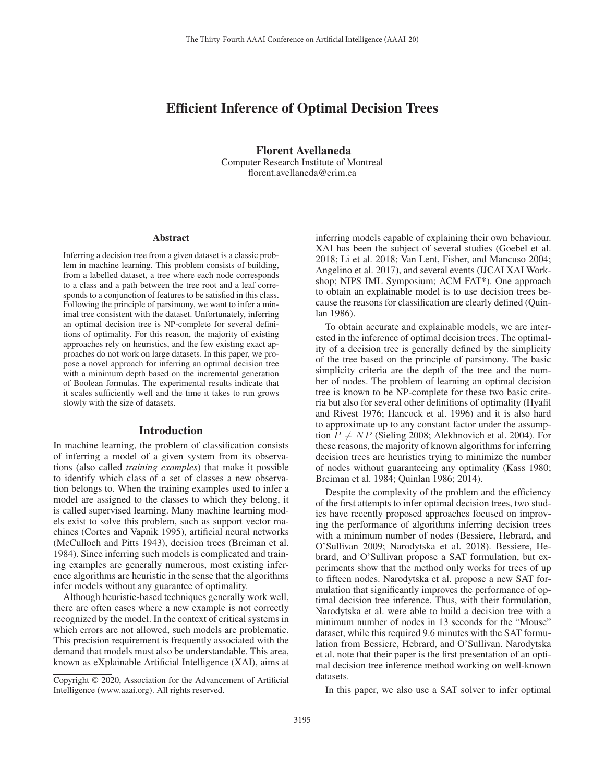# Efficient Inference of Optimal Decision Trees

Florent Avellaneda Computer Research Institute of Montreal florent.avellaneda@crim.ca

#### Abstract

Inferring a decision tree from a given dataset is a classic problem in machine learning. This problem consists of building, from a labelled dataset, a tree where each node corresponds to a class and a path between the tree root and a leaf corresponds to a conjunction of features to be satisfied in this class. Following the principle of parsimony, we want to infer a minimal tree consistent with the dataset. Unfortunately, inferring an optimal decision tree is NP-complete for several definitions of optimality. For this reason, the majority of existing approaches rely on heuristics, and the few existing exact approaches do not work on large datasets. In this paper, we propose a novel approach for inferring an optimal decision tree with a minimum depth based on the incremental generation of Boolean formulas. The experimental results indicate that it scales sufficiently well and the time it takes to run grows slowly with the size of datasets.

#### Introduction

In machine learning, the problem of classification consists of inferring a model of a given system from its observations (also called *training examples*) that make it possible to identify which class of a set of classes a new observation belongs to. When the training examples used to infer a model are assigned to the classes to which they belong, it is called supervised learning. Many machine learning models exist to solve this problem, such as support vector machines (Cortes and Vapnik 1995), artificial neural networks (McCulloch and Pitts 1943), decision trees (Breiman et al. 1984). Since inferring such models is complicated and training examples are generally numerous, most existing inference algorithms are heuristic in the sense that the algorithms infer models without any guarantee of optimality.

Although heuristic-based techniques generally work well, there are often cases where a new example is not correctly recognized by the model. In the context of critical systems in which errors are not allowed, such models are problematic. This precision requirement is frequently associated with the demand that models must also be understandable. This area, known as eXplainable Artificial Intelligence (XAI), aims at

inferring models capable of explaining their own behaviour. XAI has been the subject of several studies (Goebel et al. 2018; Li et al. 2018; Van Lent, Fisher, and Mancuso 2004; Angelino et al. 2017), and several events (IJCAI XAI Workshop; NIPS IML Symposium; ACM FAT\*). One approach to obtain an explainable model is to use decision trees because the reasons for classification are clearly defined (Quinlan 1986).

To obtain accurate and explainable models, we are interested in the inference of optimal decision trees. The optimality of a decision tree is generally defined by the simplicity of the tree based on the principle of parsimony. The basic simplicity criteria are the depth of the tree and the number of nodes. The problem of learning an optimal decision tree is known to be NP-complete for these two basic criteria but also for several other definitions of optimality (Hyafil and Rivest 1976; Hancock et al. 1996) and it is also hard to approximate up to any constant factor under the assumption  $P \neq NP$  (Sieling 2008; Alekhnovich et al. 2004). For these reasons, the majority of known algorithms for inferring decision trees are heuristics trying to minimize the number of nodes without guaranteeing any optimality (Kass 1980; Breiman et al. 1984; Quinlan 1986; 2014).

Despite the complexity of the problem and the efficiency of the first attempts to infer optimal decision trees, two studies have recently proposed approaches focused on improving the performance of algorithms inferring decision trees with a minimum number of nodes (Bessiere, Hebrard, and O'Sullivan 2009; Narodytska et al. 2018). Bessiere, Hebrard, and O'Sullivan propose a SAT formulation, but experiments show that the method only works for trees of up to fifteen nodes. Narodytska et al. propose a new SAT formulation that significantly improves the performance of optimal decision tree inference. Thus, with their formulation, Narodytska et al. were able to build a decision tree with a minimum number of nodes in 13 seconds for the "Mouse" dataset, while this required 9.6 minutes with the SAT formulation from Bessiere, Hebrard, and O'Sullivan. Narodytska et al. note that their paper is the first presentation of an optimal decision tree inference method working on well-known datasets.

In this paper, we also use a SAT solver to infer optimal

Copyright © 2020, Association for the Advancement of Artificial Intelligence (www.aaai.org). All rights reserved.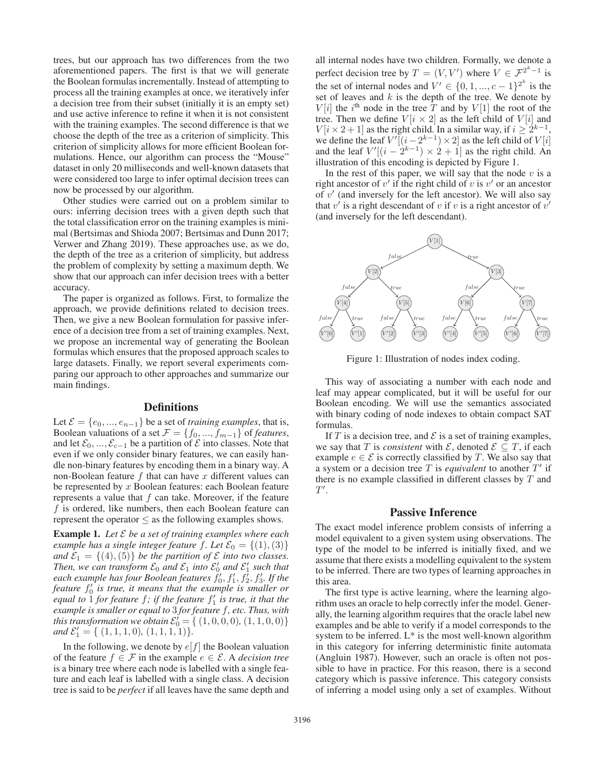trees, but our approach has two differences from the two aforementioned papers. The first is that we will generate the Boolean formulas incrementally. Instead of attempting to process all the training examples at once, we iteratively infer a decision tree from their subset (initially it is an empty set) and use active inference to refine it when it is not consistent with the training examples. The second difference is that we choose the depth of the tree as a criterion of simplicity. This criterion of simplicity allows for more efficient Boolean formulations. Hence, our algorithm can process the "Mouse" dataset in only 20 milliseconds and well-known datasets that were considered too large to infer optimal decision trees can now be processed by our algorithm.

Other studies were carried out on a problem similar to ours: inferring decision trees with a given depth such that the total classification error on the training examples is minimal (Bertsimas and Shioda 2007; Bertsimas and Dunn 2017; Verwer and Zhang 2019). These approaches use, as we do, the depth of the tree as a criterion of simplicity, but address the problem of complexity by setting a maximum depth. We show that our approach can infer decision trees with a better accuracy.

The paper is organized as follows. First, to formalize the approach, we provide definitions related to decision trees. Then, we give a new Boolean formulation for passive inference of a decision tree from a set of training examples. Next, we propose an incremental way of generating the Boolean formulas which ensures that the proposed approach scales to large datasets. Finally, we report several experiments comparing our approach to other approaches and summarize our main findings.

### **Definitions**

Let  $\mathcal{E} = \{e_0, ..., e_{n-1}\}\$  be a set of *training examples*, that is, Boolean valuations of a set  $\mathcal{F} = \{f_0, ..., f_{m-1}\}\$ of *features*, and let  $\mathcal{E}_0, ..., \mathcal{E}_{c-1}$  be a partition of  $\mathcal E$  into classes. Note that even if we only consider binary features, we can easily handle non-binary features by encoding them in a binary way. A non-Boolean feature  $f$  that can have  $x$  different values can be represented by  $x$  Boolean features: each Boolean feature represents a value that  $f$  can take. Moreover, if the feature f is ordered, like numbers, then each Boolean feature can represent the operator  $\leq$  as the following examples shows.

Example 1. *Let* E *be a set of training examples where each example has a single integer feature f. Let*  $\mathcal{E}_0 = \{(1), (3)\}$ *and*  $\mathcal{E}_1 = \{(4), (5)\}$  *be the partition of*  $\mathcal E$  *into two classes.* Then, we can transform  $\mathcal{E}_0$  and  $\mathcal{E}_1$  into  $\mathcal{E}'_0$  and  $\mathcal{E}'_1$  such that each example has four Boolean features  $f_0', f_1', f_2', f_3'.$  If the feature  $f_0'$  is true, it means that the example is smaller or *equal to*  $\overline{1}$  *for feature*  $f$ ; *if the feature*  $f'_{1}$  *is true, it that the example is smaller or equal to* 3 *for feature* f*, etc. Thus, with this transformation we obtain*  $\mathcal{E}'_0 = \{ (1, 0, 0, 0), (1, 1, 0, 0) \}$ *and*  $\mathcal{E}'_1 = \{ (1, 1, 1, 0), (1, 1, 1, 1) \}.$ 

In the following, we denote by  $\boldsymbol{e}[f]$  the Boolean valuation of the feature  $f \in \mathcal{F}$  in the example  $e \in \mathcal{E}$ . A *decision tree* is a binary tree where each node is labelled with a single feature and each leaf is labelled with a single class. A decision tree is said to be *perfect* if all leaves have the same depth and

all internal nodes have two children. Formally, we denote a perfect decision tree by  $T = (V, V')$  where  $V \in \mathcal{F}^{2^k - 1}$  is the set of internal nodes and  $V' \in \{0, 1, ..., c - 1\}^{2^k}$  is the set of leaves and  $k$  is the depth of the tree. We denote by  $V[i]$  the i<sup>th</sup> node in the tree  $\overline{T}$  and by  $V[1]$  the root of the tree. Then we define  $V[i \times 2]$  as the left child of  $V[i]$  and  $V[i \times 2 + 1]$  as the right child. In a similar way, if  $i \geq 2^{k-1}$ , we define the leaf  $V'[(i-2^{k-1})\times 2]$  as the left child of  $V[i]$ and the leaf  $V'[(i - \hat{2}^{k-1}) \times \hat{2} + 1]$  as the right child. An illustration of this encoding is depicted by Figure 1.

In the rest of this paper, we will say that the node  $v$  is a right ancestor of  $v'$  if the right child of  $v$  is  $v'$  or an ancestor of  $v'$  (and inversely for the left ancestor). We will also say that  $v'$  is a right descendant of v if v is a right ancestor of  $v'$ (and inversely for the left descendant).



Figure 1: Illustration of nodes index coding.

This way of associating a number with each node and leaf may appear complicated, but it will be useful for our Boolean encoding. We will use the semantics associated with binary coding of node indexes to obtain compact SAT formulas.

If T is a decision tree, and  $\mathcal E$  is a set of training examples, we say that T is *consistent* with  $\mathcal{E}$ , denoted  $\mathcal{E} \subseteq T$ , if each example  $e \in \mathcal{E}$  is correctly classified by T. We also say that a system or a decision tree  $T$  is *equivalent* to another  $T'$  if there is no example classified in different classes by  $T$  and  $T'.$ 

## Passive Inference

The exact model inference problem consists of inferring a model equivalent to a given system using observations. The type of the model to be inferred is initially fixed, and we assume that there exists a modelling equivalent to the system to be inferred. There are two types of learning approaches in this area.

The first type is active learning, where the learning algorithm uses an oracle to help correctly infer the model. Generally, the learning algorithm requires that the oracle label new examples and be able to verify if a model corresponds to the system to be inferred. L\* is the most well-known algorithm in this category for inferring deterministic finite automata (Angluin 1987). However, such an oracle is often not possible to have in practice. For this reason, there is a second category which is passive inference. This category consists of inferring a model using only a set of examples. Without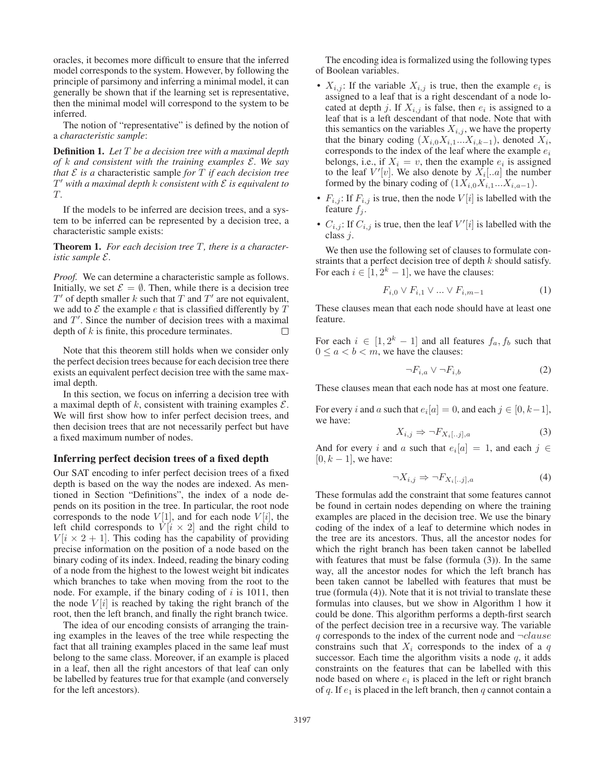oracles, it becomes more difficult to ensure that the inferred model corresponds to the system. However, by following the principle of parsimony and inferring a minimal model, it can generally be shown that if the learning set is representative, then the minimal model will correspond to the system to be inferred.

The notion of "representative" is defined by the notion of a *characteristic sample*:

Definition 1. *Let* T *be a decision tree with a maximal depth of* k *and consistent with the training examples* E*. We say that*  $E$  *is a* characteristic sample *for*  $T$  *if each decision tree* T- *with a maximal depth* k *consistent with* E *is equivalent to* T*.*

If the models to be inferred are decision trees, and a system to be inferred can be represented by a decision tree, a characteristic sample exists:

Theorem 1. *For each decision tree* T*, there is a characteristic sample* E*.*

*Proof.* We can determine a characteristic sample as follows. Initially, we set  $\mathcal{E} = \emptyset$ . Then, while there is a decision tree  $T'$  of depth smaller k such that  $T$  and  $T'$  are not equivalent, we add to  $\mathcal E$  the example  $e$  that is classified differently by  $T$ and  $T'$ . Since the number of decision trees with a maximal depth of  $k$  is finite, this procedure terminates.  $\Box$ 

Note that this theorem still holds when we consider only the perfect decision trees because for each decision tree there exists an equivalent perfect decision tree with the same maximal depth.

In this section, we focus on inferring a decision tree with a maximal depth of  $k$ , consistent with training examples  $\mathcal{E}$ . We will first show how to infer perfect decision trees, and then decision trees that are not necessarily perfect but have a fixed maximum number of nodes.

### Inferring perfect decision trees of a fixed depth

Our SAT encoding to infer perfect decision trees of a fixed depth is based on the way the nodes are indexed. As mentioned in Section "Definitions", the index of a node depends on its position in the tree. In particular, the root node corresponds to the node  $V[1]$ , and for each node  $V[i]$ , the left child corresponds to  $V[i \times 2]$  and the right child to  $V[i \times 2 + 1]$ . This coding has the capability of providing precise information on the position of a node based on the binary coding of its index. Indeed, reading the binary coding of a node from the highest to the lowest weight bit indicates which branches to take when moving from the root to the node. For example, if the binary coding of  $i$  is 1011, then the node  $V[i]$  is reached by taking the right branch of the root, then the left branch, and finally the right branch twice.

The idea of our encoding consists of arranging the training examples in the leaves of the tree while respecting the fact that all training examples placed in the same leaf must belong to the same class. Moreover, if an example is placed in a leaf, then all the right ancestors of that leaf can only be labelled by features true for that example (and conversely for the left ancestors).

The encoding idea is formalized using the following types of Boolean variables.

- $X_{i,j}$ : If the variable  $X_{i,j}$  is true, then the example  $e_i$  is assigned to a leaf that is a right descendant of a node located at depth j. If  $X_{i,j}$  is false, then  $e_i$  is assigned to a leaf that is a left descendant of that node. Note that with this semantics on the variables  $X_{i,j}$ , we have the property that the binary coding  $(X_{i,0}X_{i,1}...X_{i,k-1})$ , denoted  $X_i$ , corresponds to the index of the leaf where the example  $e_i$ belongs, i.e., if  $X_i = v$ , then the example  $e_i$  is assigned to the leaf  $V'[v]$ . We also denote by  $X_i[..a]$  the number formed by the binary coding of  $(1X_{i,0}X_{i,1}...X_{i,a-1})$ .
- $F_{i,j}$ : If  $F_{i,j}$  is true, then the node  $V[i]$  is labelled with the feature  $f_i$ .
- $C_{i,j}$ : If  $C_{i,j}$  is true, then the leaf  $V'[i]$  is labelled with the class j.

We then use the following set of clauses to formulate constraints that a perfect decision tree of depth  $k$  should satisfy. For each  $i \in [1, 2^k - 1]$ , we have the clauses:

$$
F_{i,0} \vee F_{i,1} \vee \dots \vee F_{i,m-1} \tag{1}
$$

These clauses mean that each node should have at least one feature.

For each  $i \in [1, 2^k - 1]$  and all features  $f_a, f_b$  such that  $0 \le a < b < m$ , we have the clauses:

$$
\neg F_{i,a} \lor \neg F_{i,b} \tag{2}
$$

These clauses mean that each node has at most one feature.

For every i and a such that  $e_i[a]=0$ , and each  $j \in [0, k-1]$ , we have:

$$
X_{i,j} \Rightarrow \neg F_{X_i[..j],a} \tag{3}
$$

And for every i and a such that  $e_i[a]=1$ , and each  $j \in$  $[0, k - 1]$ , we have:

$$
\neg X_{i,j} \Rightarrow \neg F_{X_i[..j],a} \tag{4}
$$

These formulas add the constraint that some features cannot be found in certain nodes depending on where the training examples are placed in the decision tree. We use the binary coding of the index of a leaf to determine which nodes in the tree are its ancestors. Thus, all the ancestor nodes for which the right branch has been taken cannot be labelled with features that must be false (formula (3)). In the same way, all the ancestor nodes for which the left branch has been taken cannot be labelled with features that must be true (formula (4)). Note that it is not trivial to translate these formulas into clauses, but we show in Algorithm 1 how it could be done. This algorithm performs a depth-first search of the perfect decision tree in a recursive way. The variable  $q$  corresponds to the index of the current node and  $\neg clause$ constrains such that  $X_i$  corresponds to the index of a  $q$ successor. Each time the algorithm visits a node  $q$ , it adds constraints on the features that can be labelled with this node based on where  $e_i$  is placed in the left or right branch of q. If  $e_1$  is placed in the left branch, then q cannot contain a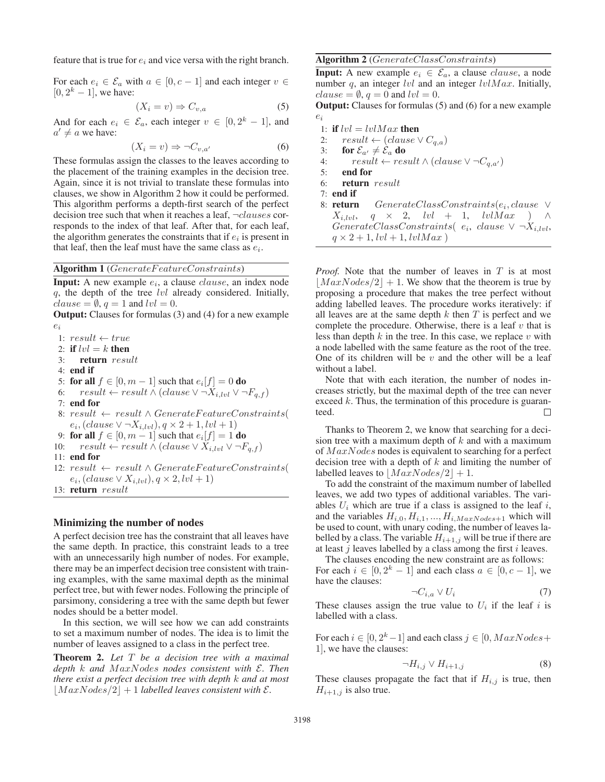feature that is true for  $e_i$  and vice versa with the right branch.

For each  $e_i \in \mathcal{E}_a$  with  $a \in [0, c-1]$  and each integer  $v \in$  $[0, 2<sup>k</sup> - 1]$ , we have:

$$
(X_i = v) \Rightarrow C_{v,a} \tag{5}
$$

And for each  $e_i \in \mathcal{E}_a$ , each integer  $v \in [0, 2^k - 1]$ , and  $a' \neq a$  we have:

$$
(X_i = v) \Rightarrow \neg C_{v,a'} \tag{6}
$$

These formulas assign the classes to the leaves according to the placement of the training examples in the decision tree. Again, since it is not trivial to translate these formulas into clauses, we show in Algorithm 2 how it could be performed. This algorithm performs a depth-first search of the perfect decision tree such that when it reaches a leaf,  $\neg clauses$  corresponds to the index of that leaf. After that, for each leaf, the algorithm generates the constraints that if  $e_i$  is present in that leaf, then the leaf must have the same class as  $e_i$ .

### Algorithm 1 (GenerateFeatureConstraints)

**Input:** A new example  $e_i$ , a clause *clause*, an index node  $q$ , the depth of the tree  $lvl$  already considered. Initially,  $clause = \emptyset, q = 1$  and  $lvl = 0$ .

Output: Clauses for formulas (3) and (4) for a new example  $e_i$ 

1:  $result \leftarrow true$ 2: if  $lvl = k$  then 3: return result 4: end if 5: for all  $f \in [0, m-1]$  such that  $e_i[f] = 0$  do 6:  $result \leftarrow result \wedge (clause \vee \neg X_{i, lvl} \vee \neg F_{q,f})$ 7: end for 8:  $result \leftarrow result \wedge GenerateFeatureConstraints($  $e_i$ , (clause  $\vee \neg X_{i, lvl}$ ),  $q \times 2 + 1, lvl + 1$ ) 9: for all  $f \in [0, m-1]$  such that  $e_i[f] = 1$  do 10:  $result \leftarrow result \wedge (clause \vee X_{i,lvl} \vee \neg F_{q,f})$ 11: end for 12:  $result \leftarrow result \wedge GenerateFeatureConstraints($  $e_i$ , (clause  $\vee X_{i, lvl}$ ),  $q \times 2, lvl + 1$ ) 13: return result

#### Minimizing the number of nodes

A perfect decision tree has the constraint that all leaves have the same depth. In practice, this constraint leads to a tree with an unnecessarily high number of nodes. For example, there may be an imperfect decision tree consistent with training examples, with the same maximal depth as the minimal perfect tree, but with fewer nodes. Following the principle of parsimony, considering a tree with the same depth but fewer nodes should be a better model.

In this section, we will see how we can add constraints to set a maximum number of nodes. The idea is to limit the number of leaves assigned to a class in the perfect tree.

Theorem 2. *Let* T *be a decision tree with a maximal depth* k *and* M axNodes *nodes consistent with* E*. Then there exist a perfect decision tree with depth* k *and at most*  $|MaxNodes/2| + 1$  *labelled leaves consistent with*  $\mathcal{E}$ *.* 

#### Algorithm 2 (GenerateClassConstraints)

**Input:** A new example  $e_i \in \mathcal{E}_a$ , a clause *clause*, a node number  $q$ , an integer lvl and an integer lvlMax. Initially,  $clause = \emptyset, q = 0$  and  $lvl = 0$ .

Output: Clauses for formulas (5) and (6) for a new example ei

- 1: if  $lvl = lvlMax$  then
- 2:  $result \leftarrow (clause \vee C_{q,a})$
- 3: for  $\mathcal{E}_{a'} \neq \mathcal{E}_a$  do
- 4:  $result \leftarrow result \wedge (clause \vee \neg C_{q,a'})$
- 5: end for
- 6: return result
- 7: end if
- 8: **return** GenerateClassConstraints(e<sub>i</sub>, clause ∨  $X_{i, lvl}, q \times 2, lvl + 1, lvlMax$  ) ∧ GenerateClassConstraints( $e_i$ , clause  $\vee \neg X_{i, lvl}$ ,  $q \times 2 + 1$ ,  $lvl + 1$ ,  $lvl$ *Max*)

*Proof.* Note that the number of leaves in T is at most  $|MaxNodes/2| + 1$ . We show that the theorem is true by proposing a procedure that makes the tree perfect without adding labelled leaves. The procedure works iteratively: if all leaves are at the same depth  $k$  then  $T$  is perfect and we complete the procedure. Otherwise, there is a leaf  $v$  that is less than depth  $k$  in the tree. In this case, we replace  $v$  with a node labelled with the same feature as the root of the tree. One of its children will be  $v$  and the other will be a leaf without a label.

Note that with each iteration, the number of nodes increases strictly, but the maximal depth of the tree can never exceed  $k$ . Thus, the termination of this procedure is guaran- $\Box$ teed.

Thanks to Theorem 2, we know that searching for a decision tree with a maximum depth of  $k$  and with a maximum of  $MaxNodes$  nodes is equivalent to searching for a perfect decision tree with a depth of  $k$  and limiting the number of labelled leaves to  $|MaxNodes/2| + 1$ .

To add the constraint of the maximum number of labelled leaves, we add two types of additional variables. The variables  $U_i$  which are true if a class is assigned to the leaf i, and the variables  $H_{i,0}, H_{i,1}, ..., H_{i,MaxNodes+1}$  which will be used to count, with unary coding, the number of leaves labelled by a class. The variable  $H_{i+1,j}$  will be true if there are at least  $j$  leaves labelled by a class among the first  $i$  leaves.

The clauses encoding the new constraint are as follows: For each  $i \in [0, 2^k - 1]$  and each class  $a \in [0, c - 1]$ , we have the clauses:

$$
\neg C_{i,a} \lor U_i \tag{7}
$$

These clauses assign the true value to  $U_i$  if the leaf i is labelled with a class.

For each  $i \in [0, 2^k-1]$  and each class  $j \in [0, MaxNodes +$ 1], we have the clauses:

$$
\neg H_{i,j} \lor H_{i+1,j} \tag{8}
$$

These clauses propagate the fact that if  $H_{i,j}$  is true, then  $H_{i+1,j}$  is also true.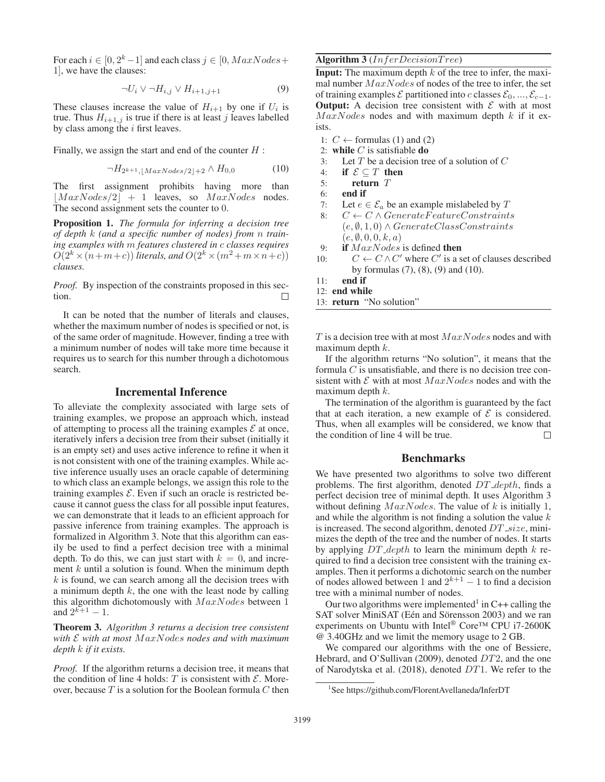For each  $i \in [0, 2<sup>k</sup> - 1]$  and each class  $j \in [0, MaxNodes +$ 1], we have the clauses:

$$
\neg U_i \lor \neg H_{i,j} \lor H_{i+1,j+1} \tag{9}
$$

These clauses increase the value of  $H_{i+1}$  by one if  $U_i$  is true. Thus  $H_{i+1,j}$  is true if there is at least j leaves labelled by class among the  $i$  first leaves.

Finally, we assign the start and end of the counter  $H$ :

$$
\neg H_{2^{k+1}, \lfloor MaxNodes/2 \rfloor + 2} \land H_{0,0} \tag{10}
$$

The first assignment prohibits having more than  $|MaxNodes/2| + 1$  leaves, so  $MaxNodes$  nodes. The second assignment sets the counter to 0.

Proposition 1. *The formula for inferring a decision tree of depth* k *(and a specific number of nodes) from* n *training examples with* m *features clustered in* c *classes requires*  $O(2^k \times (n+m+c))$  *literals, and*  $O(2^k \times (m^2+m\times n+c))$ *clauses.*

*Proof.* By inspection of the constraints proposed in this section.

It can be noted that the number of literals and clauses, whether the maximum number of nodes is specified or not, is of the same order of magnitude. However, finding a tree with a minimum number of nodes will take more time because it requires us to search for this number through a dichotomous search.

## Incremental Inference

To alleviate the complexity associated with large sets of training examples, we propose an approach which, instead of attempting to process all the training examples  $\mathcal E$  at once, iteratively infers a decision tree from their subset (initially it is an empty set) and uses active inference to refine it when it is not consistent with one of the training examples. While active inference usually uses an oracle capable of determining to which class an example belongs, we assign this role to the training examples  $\mathcal E$ . Even if such an oracle is restricted because it cannot guess the class for all possible input features, we can demonstrate that it leads to an efficient approach for passive inference from training examples. The approach is formalized in Algorithm 3. Note that this algorithm can easily be used to find a perfect decision tree with a minimal depth. To do this, we can just start with  $k = 0$ , and increment  $k$  until a solution is found. When the minimum depth  $k$  is found, we can search among all the decision trees with a minimum depth  $k$ , the one with the least node by calling this algorithm dichotomously with  $MaxNodes$  between 1 and  $2^{k+1} - 1$ .

Theorem 3. *Algorithm 3 returns a decision tree consistent with* E *with at most* M axNodes *nodes and with maximum depth* k *if it exists.*

*Proof.* If the algorithm returns a decision tree, it means that the condition of line 4 holds:  $T$  is consistent with  $\mathcal{E}$ . Moreover, because  $T$  is a solution for the Boolean formula  $C$  then

### Algorithm  $3$  (*InferDecisionTree*)

**Input:** The maximum depth  $k$  of the tree to infer, the maximal number  $MaxNodes$  of nodes of the tree to infer, the set of training examples  $\mathcal E$  partitioned into c classes  $\mathcal E_0, ..., \mathcal E_{c-1}$ . **Output:** A decision tree consistent with  $\mathcal{E}$  with at most  $MaxNodes$  nodes and with maximum depth  $k$  if it exists.

- 1:  $C$  ← formulas (1) and (2)
- 2: while  $C$  is satisfiable do
- 3: Let  $T$  be a decision tree of a solution of  $C$
- 4: if  $\mathcal{E} \subseteq T$  then
- 5: return T
- 6: end if
- 7: Let  $e \in \mathcal{E}_a$  be an example mislabeled by  $T$
- 8:  $C \leftarrow C \wedge GenerateFeatureConstraints$  $(e, \emptyset, 1, 0) \wedge GenerateClassConstraints$  $(e, \emptyset, 0, 0, k, a)$
- 9: if  $MaxNodes$  is defined then
- 10:  $C \leftarrow C \wedge C'$  where C' is a set of clauses described by formulas (7), (8), (9) and (10).
- 11: end if
- 12: end while
- 13: return "No solution"

 $T$  is a decision tree with at most  $MaxNodes$  nodes and with maximum depth  $k$ .

If the algorithm returns "No solution", it means that the formula  $C$  is unsatisfiable, and there is no decision tree consistent with  $\mathcal E$  with at most  $MaxNodes$  nodes and with the maximum depth  $k$ .

The termination of the algorithm is guaranteed by the fact that at each iteration, a new example of  $\mathcal E$  is considered. Thus, when all examples will be considered, we know that the condition of line 4 will be true.  $\Box$ 

### Benchmarks

We have presented two algorithms to solve two different problems. The first algorithm, denoted  $DT$  depth, finds a perfect decision tree of minimal depth. It uses Algorithm 3 without defining  $MaxNodes$ . The value of k is initially 1, and while the algorithm is not finding a solution the value  $k$ is increased. The second algorithm, denoted  $DT\_size$ , minimizes the depth of the tree and the number of nodes. It starts by applying  $DT\_depth$  to learn the minimum depth k required to find a decision tree consistent with the training examples. Then it performs a dichotomic search on the number of nodes allowed between 1 and  $2^{k+1} - 1$  to find a decision tree with a minimal number of nodes.

Our two algorithms were implemented<sup>1</sup> in C++ calling the SAT solver MiniSAT (Eén and Sörensson 2003) and we ran experiments on Ubuntu with Intel<sup>®</sup> Core™ CPU i7-2600K @ 3.40GHz and we limit the memory usage to 2 GB.

We compared our algorithms with the one of Bessiere, Hebrard, and O'Sullivan (2009), denoted DT2, and the one of Narodytska et al. (2018), denoted DT1. We refer to the

<sup>1</sup> See https://github.com/FlorentAvellaneda/InferDT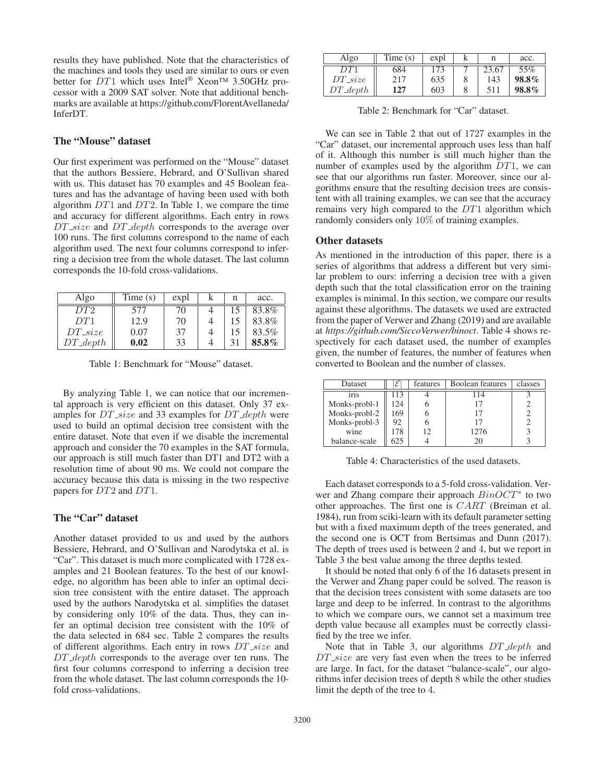results they have published. Note that the characteristics of the machines and tools they used are similar to ours or even better for DT1 which uses Intel® Xeon™ 3.50GHz processor with a 2009 SAT solver. Note that additional benchmarks are available at https://github.com/FlorentAvellaneda/ InferDT.

# The "Mouse" dataset

Our first experiment was performed on the "Mouse" dataset that the authors Bessiere, Hebrard, and O'Sullivan shared with us. This dataset has 70 examples and 45 Boolean features and has the advantage of having been used with both algorithm DT1 and DT2. In Table 1, we compare the time and accuracy for different algorithms. Each entry in rows  $DT\_size$  and  $DT\_depth$  corresponds to the average over 100 runs. The first columns correspond to the name of each algorithm used. The next four columns correspond to inferring a decision tree from the whole dataset. The last column corresponds the 10-fold cross-validations.

| Algo                 | Time(s) | expl | n | acc.  |
|----------------------|---------|------|---|-------|
| DT2                  | 577     | 70   |   | 83.8% |
| DT1                  | 12.9    | 70   |   | 83.8% |
| $DT_size$            | 0.07    | 37   |   | 83.5% |
| $DT\_\mathit{depth}$ | 0.02    | 33   |   | 85.8% |

Table 1: Benchmark for "Mouse" dataset.

By analyzing Table 1, we can notice that our incremental approach is very efficient on this dataset. Only 37 examples for  $DT\_size$  and 33 examples for  $DT\_depth$  were used to build an optimal decision tree consistent with the entire dataset. Note that even if we disable the incremental approach and consider the 70 examples in the SAT formula, our approach is still much faster than DT1 and DT2 with a resolution time of about 90 ms. We could not compare the accuracy because this data is missing in the two respective papers for DT2 and DT1.

# The "Car" dataset

Another dataset provided to us and used by the authors Bessiere, Hebrard, and O'Sullivan and Narodytska et al. is "Car". This dataset is much more complicated with 1728 examples and 21 Boolean features. To the best of our knowledge, no algorithm has been able to infer an optimal decision tree consistent with the entire dataset. The approach used by the authors Narodytska et al. simplifies the dataset by considering only 10% of the data. Thus, they can infer an optimal decision tree consistent with the 10% of the data selected in 684 sec. Table 2 compares the results of different algorithms. Each entry in rows  $DT\_size$  and DT\_depth corresponds to the average over ten runs. The first four columns correspond to inferring a decision tree from the whole dataset. The last column corresponds the 10 fold cross-validations.

| Algo        | Time(s) | expl |       | acc.  |
|-------------|---------|------|-------|-------|
| DT 1        | 684     | 173  | 23.67 | 55%   |
| $DT_size$   | 217     | 635  | 143   | 98.8% |
| $DT\_depth$ | 127     | 603  | 511   | 98.8% |

Table 2: Benchmark for "Car" dataset.

We can see in Table 2 that out of 1727 examples in the "Car" dataset, our incremental approach uses less than half of it. Although this number is still much higher than the number of examples used by the algorithm  $DT1$ , we can see that our algorithms run faster. Moreover, since our algorithms ensure that the resulting decision trees are consistent with all training examples, we can see that the accuracy remains very high compared to the DT1 algorithm which randomly considers only 10% of training examples.

#### Other datasets

As mentioned in the introduction of this paper, there is a series of algorithms that address a different but very similar problem to ours: inferring a decision tree with a given depth such that the total classification error on the training examples is minimal. In this section, we compare our results against these algorithms. The datasets we used are extracted from the paper of Verwer and Zhang (2019) and are available at *https://github.com/SiccoVerwer/binoct*. Table 4 shows respectively for each dataset used, the number of examples given, the number of features, the number of features when converted to Boolean and the number of classes.

| Dataset       |     | features | Boolean features | classes |
|---------------|-----|----------|------------------|---------|
| iris          | 113 |          | 114              |         |
| Monks-probl-1 | 124 |          |                  |         |
| Monks-probl-2 | 169 |          |                  |         |
| Monks-probl-3 | 92  |          |                  |         |
| wine          | 178 |          | 1276             |         |
| balance-scale | 625 |          | 20               |         |

Table 4: Characteristics of the used datasets.

Each dataset corresponds to a 5-fold cross-validation. Verwer and Zhang compare their approach  $BinOCT^*$  to two other approaches. The first one is CART (Breiman et al. 1984), run from sciki-learn with its default parameter setting but with a fixed maximum depth of the trees generated, and the second one is OCT from Bertsimas and Dunn (2017). The depth of trees used is between 2 and 4, but we report in Table 3 the best value among the three depths tested.

It should be noted that only 6 of the 16 datasets present in the Verwer and Zhang paper could be solved. The reason is that the decision trees consistent with some datasets are too large and deep to be inferred. In contrast to the algorithms to which we compare ours, we cannot set a maximum tree depth value because all examples must be correctly classified by the tree we infer.

Note that in Table 3, our algorithms  $DT_-depth$  and  $DT\_size$  are very fast even when the trees to be inferred are large. In fact, for the dataset "balance-scale", our algorithms infer decision trees of depth 8 while the other studies limit the depth of the tree to 4.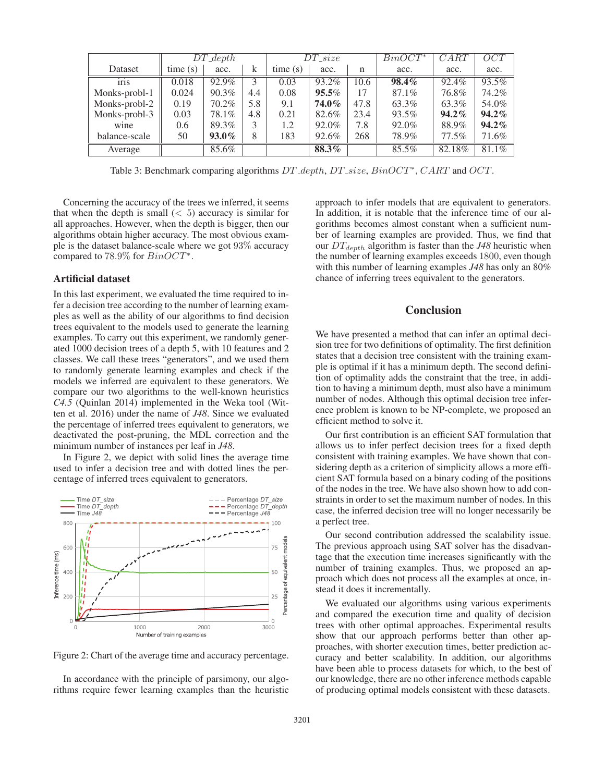|               | $DT\_\mathit{depth}$ |          | $DT\_size$ |         |          | $BinOCT^*$ | CART     | OCT      |          |
|---------------|----------------------|----------|------------|---------|----------|------------|----------|----------|----------|
| Dataset       | time(s)              | acc.     | k          | time(s) | acc.     | n          | acc.     | acc.     | acc.     |
| iris          | 0.018                | 92.9%    | 3          | 0.03    | 93.2%    | 10.6       | $98.4\%$ | 92.4%    | 93.5%    |
| Monks-probl-1 | 0.024                | 90.3%    | 4.4        | 0.08    | $95.5\%$ | 17         | 87.1%    | 76.8%    | 74.2%    |
| Monks-probl-2 | 0.19                 | 70.2%    | 5.8        | 9.1     | 74.0%    | 47.8       | 63.3%    | 63.3%    | 54.0%    |
| Monks-probl-3 | 0.03                 | 78.1%    | 4.8        | 0.21    | 82.6%    | 23.4       | 93.5%    | $94.2\%$ | $94.2\%$ |
| wine          | 0.6                  | 89.3%    | 3          | 1.2     | 92.0%    | 7.8        | 92.0%    | 88.9%    | $94.2\%$ |
| balance-scale | 50                   | $93.0\%$ | 8          | 183     | 92.6%    | 268        | 78.9%    | 77.5%    | 71.6%    |
| Average       |                      | 85.6%    |            |         | 88.3%    |            | 85.5%    | 82.18%   | 81.1%    |

Table 3: Benchmark comparing algorithms  $DT\text{-}depth$ ,  $DT\text{-}size$ ,  $BinOCT^*$ ,  $CART$  and  $OCT$ .

Concerning the accuracy of the trees we inferred, it seems that when the depth is small  $(< 5)$  accuracy is similar for all approaches. However, when the depth is bigger, then our algorithms obtain higher accuracy. The most obvious example is the dataset balance-scale where we got 93% accuracy compared to 78.9% for  $BinOCT^*$ .

### Artificial dataset

In this last experiment, we evaluated the time required to infer a decision tree according to the number of learning examples as well as the ability of our algorithms to find decision trees equivalent to the models used to generate the learning examples. To carry out this experiment, we randomly generated 1000 decision trees of a depth 5, with 10 features and 2 classes. We call these trees "generators", and we used them to randomly generate learning examples and check if the models we inferred are equivalent to these generators. We compare our two algorithms to the well-known heuristics *C4.5* (Quinlan 2014) implemented in the Weka tool (Witten et al. 2016) under the name of *J48*. Since we evaluated the percentage of inferred trees equivalent to generators, we deactivated the post-pruning, the MDL correction and the minimum number of instances per leaf in *J48*.

In Figure 2, we depict with solid lines the average time used to infer a decision tree and with dotted lines the percentage of inferred trees equivalent to generators.



Figure 2: Chart of the average time and accuracy percentage.

In accordance with the principle of parsimony, our algorithms require fewer learning examples than the heuristic

approach to infer models that are equivalent to generators. In addition, it is notable that the inference time of our algorithms becomes almost constant when a sufficient number of learning examples are provided. Thus, we find that our  $DT_{depth}$  algorithm is faster than the  $J48$  heuristic when the number of learning examples exceeds 1800, even though with this number of learning examples *J48* has only an 80% chance of inferring trees equivalent to the generators.

# **Conclusion**

We have presented a method that can infer an optimal decision tree for two definitions of optimality. The first definition states that a decision tree consistent with the training example is optimal if it has a minimum depth. The second definition of optimality adds the constraint that the tree, in addition to having a minimum depth, must also have a minimum number of nodes. Although this optimal decision tree inference problem is known to be NP-complete, we proposed an efficient method to solve it.

Our first contribution is an efficient SAT formulation that allows us to infer perfect decision trees for a fixed depth consistent with training examples. We have shown that considering depth as a criterion of simplicity allows a more efficient SAT formula based on a binary coding of the positions of the nodes in the tree. We have also shown how to add constraints in order to set the maximum number of nodes. In this case, the inferred decision tree will no longer necessarily be a perfect tree.

Our second contribution addressed the scalability issue. The previous approach using SAT solver has the disadvantage that the execution time increases significantly with the number of training examples. Thus, we proposed an approach which does not process all the examples at once, instead it does it incrementally.

We evaluated our algorithms using various experiments and compared the execution time and quality of decision trees with other optimal approaches. Experimental results show that our approach performs better than other approaches, with shorter execution times, better prediction accuracy and better scalability. In addition, our algorithms have been able to process datasets for which, to the best of our knowledge, there are no other inference methods capable of producing optimal models consistent with these datasets.